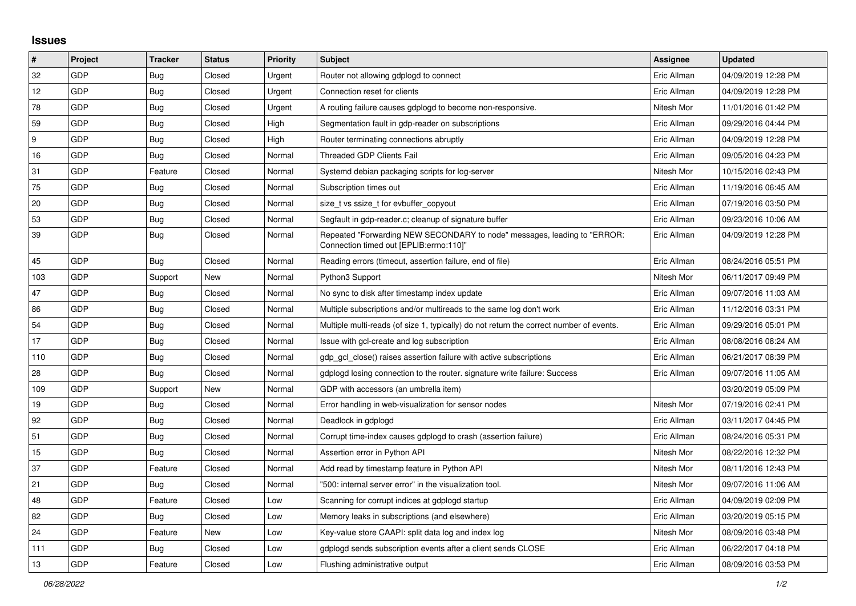## **Issues**

| $\vert$ # | Project    | <b>Tracker</b> | <b>Status</b> | <b>Priority</b> | <b>Subject</b>                                                                                                      | Assignee    | <b>Updated</b>      |
|-----------|------------|----------------|---------------|-----------------|---------------------------------------------------------------------------------------------------------------------|-------------|---------------------|
| 32        | GDP        | Bug            | Closed        | Urgent          | Router not allowing gdplogd to connect                                                                              | Eric Allman | 04/09/2019 12:28 PM |
| 12        | GDP        | <b>Bug</b>     | Closed        | Urgent          | Connection reset for clients                                                                                        | Eric Allman | 04/09/2019 12:28 PM |
| 78        | GDP        | Bug            | Closed        | Urgent          | A routing failure causes gdplogd to become non-responsive.                                                          | Nitesh Mor  | 11/01/2016 01:42 PM |
| 59        | GDP        | Bug            | Closed        | High            | Segmentation fault in gdp-reader on subscriptions                                                                   | Eric Allman | 09/29/2016 04:44 PM |
| 9         | GDP        | Bug            | Closed        | High            | Router terminating connections abruptly                                                                             | Eric Allman | 04/09/2019 12:28 PM |
| 16        | GDP        | Bug            | Closed        | Normal          | <b>Threaded GDP Clients Fail</b>                                                                                    | Eric Allman | 09/05/2016 04:23 PM |
| 31        | GDP        | Feature        | Closed        | Normal          | Systemd debian packaging scripts for log-server                                                                     | Nitesh Mor  | 10/15/2016 02:43 PM |
| 75        | GDP        | Bug            | Closed        | Normal          | Subscription times out                                                                                              | Eric Allman | 11/19/2016 06:45 AM |
| 20        | GDP        | <b>Bug</b>     | Closed        | Normal          | size t vs ssize t for evbuffer copyout                                                                              | Eric Allman | 07/19/2016 03:50 PM |
| 53        | <b>GDP</b> | Bug            | Closed        | Normal          | Segfault in gdp-reader.c; cleanup of signature buffer                                                               | Eric Allman | 09/23/2016 10:06 AM |
| 39        | GDP        | Bug            | Closed        | Normal          | Repeated "Forwarding NEW SECONDARY to node" messages, leading to "ERROR:<br>"Connection timed out [EPLIB:errno:110] | Eric Allman | 04/09/2019 12:28 PM |
| 45        | GDP        | Bug            | Closed        | Normal          | Reading errors (timeout, assertion failure, end of file)                                                            | Eric Allman | 08/24/2016 05:51 PM |
| 103       | GDP        | Support        | New           | Normal          | Python3 Support                                                                                                     | Nitesh Mor  | 06/11/2017 09:49 PM |
| 47        | GDP        | Bug            | Closed        | Normal          | No sync to disk after timestamp index update                                                                        | Eric Allman | 09/07/2016 11:03 AM |
| 86        | GDP        | Bug            | Closed        | Normal          | Multiple subscriptions and/or multireads to the same log don't work                                                 | Eric Allman | 11/12/2016 03:31 PM |
| 54        | GDP        | Bug            | Closed        | Normal          | Multiple multi-reads (of size 1, typically) do not return the correct number of events.                             | Eric Allman | 09/29/2016 05:01 PM |
| 17        | GDP        | Bug            | Closed        | Normal          | Issue with gcl-create and log subscription                                                                          | Eric Allman | 08/08/2016 08:24 AM |
| 110       | GDP        | <b>Bug</b>     | Closed        | Normal          | gdp_gcl_close() raises assertion failure with active subscriptions                                                  | Eric Allman | 06/21/2017 08:39 PM |
| 28        | <b>GDP</b> | Bug            | Closed        | Normal          | gdplogd losing connection to the router. signature write failure: Success                                           | Eric Allman | 09/07/2016 11:05 AM |
| 109       | GDP        | Support        | New           | Normal          | GDP with accessors (an umbrella item)                                                                               |             | 03/20/2019 05:09 PM |
| 19        | GDP        | Bug            | Closed        | Normal          | Error handling in web-visualization for sensor nodes                                                                | Nitesh Mor  | 07/19/2016 02:41 PM |
| 92        | GDP        | Bug            | Closed        | Normal          | Deadlock in gdplogd                                                                                                 | Eric Allman | 03/11/2017 04:45 PM |
| 51        | GDP        | Bug            | Closed        | Normal          | Corrupt time-index causes gdplogd to crash (assertion failure)                                                      | Eric Allman | 08/24/2016 05:31 PM |
| 15        | GDP        | Bug            | Closed        | Normal          | Assertion error in Python API                                                                                       | Nitesh Mor  | 08/22/2016 12:32 PM |
| 37        | GDP        | Feature        | Closed        | Normal          | Add read by timestamp feature in Python API                                                                         | Nitesh Mor  | 08/11/2016 12:43 PM |
| 21        | GDP        | <b>Bug</b>     | Closed        | Normal          | '500: internal server error" in the visualization tool.                                                             | Nitesh Mor  | 09/07/2016 11:06 AM |
| 48        | GDP        | Feature        | Closed        | Low             | Scanning for corrupt indices at gdplogd startup                                                                     | Eric Allman | 04/09/2019 02:09 PM |
| 82        | GDP        | Bug            | Closed        | Low             | Memory leaks in subscriptions (and elsewhere)                                                                       | Eric Allman | 03/20/2019 05:15 PM |
| 24        | <b>GDP</b> | Feature        | New           | Low             | Key-value store CAAPI: split data log and index log                                                                 | Nitesh Mor  | 08/09/2016 03:48 PM |
| 111       | GDP        | Bug            | Closed        | Low             | gdplogd sends subscription events after a client sends CLOSE                                                        | Eric Allman | 06/22/2017 04:18 PM |
| 13        | GDP        | Feature        | Closed        | Low             | Flushing administrative output                                                                                      | Eric Allman | 08/09/2016 03:53 PM |